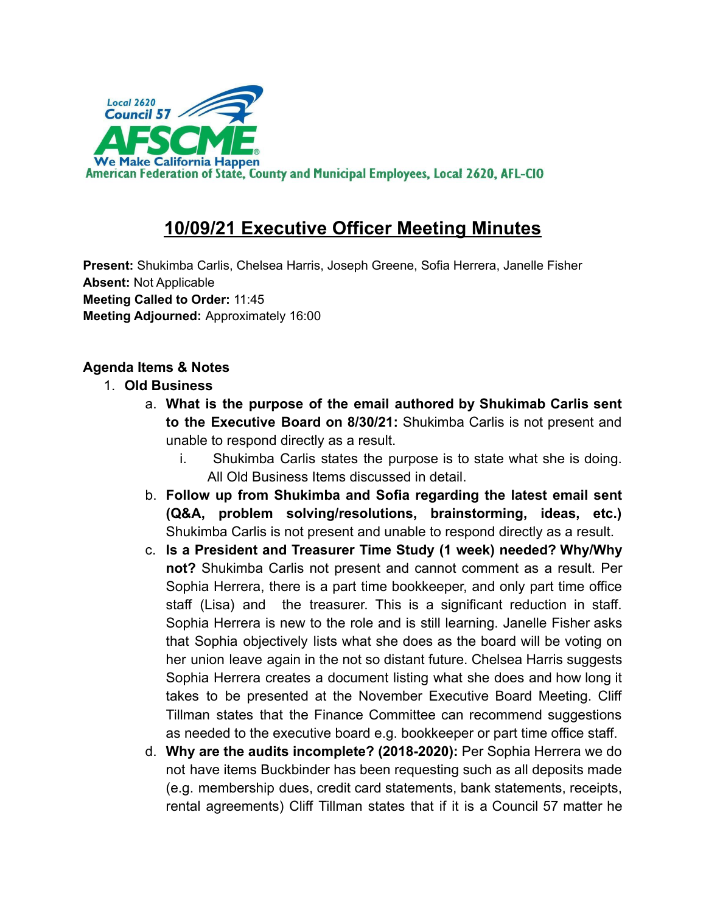

# **10/09/21 Executive Officer Meeting Minutes**

**Present:** Shukimba Carlis, Chelsea Harris, Joseph Greene, Sofia Herrera, Janelle Fisher **Absent:** Not Applicable **Meeting Called to Order:** 11:45 **Meeting Adjourned:** Approximately 16:00

## **Agenda Items & Notes**

### 1. **Old Business**

- a. **What is the purpose of the email authored by Shukimab Carlis sent to the Executive Board on 8/30/21:** Shukimba Carlis is not present and unable to respond directly as a result.
	- i. Shukimba Carlis states the purpose is to state what she is doing. All Old Business Items discussed in detail.
- b. **Follow up from Shukimba and Sofia regarding the latest email sent (Q&A, problem solving/resolutions, brainstorming, ideas, etc.)** Shukimba Carlis is not present and unable to respond directly as a result.
- c. **Is a President and Treasurer Time Study (1 week) needed? Why/Why not?** Shukimba Carlis not present and cannot comment as a result. Per Sophia Herrera, there is a part time bookkeeper, and only part time office staff (Lisa) and the treasurer. This is a significant reduction in staff. Sophia Herrera is new to the role and is still learning. Janelle Fisher asks that Sophia objectively lists what she does as the board will be voting on her union leave again in the not so distant future. Chelsea Harris suggests Sophia Herrera creates a document listing what she does and how long it takes to be presented at the November Executive Board Meeting. Cliff Tillman states that the Finance Committee can recommend suggestions as needed to the executive board e.g. bookkeeper or part time office staff.
- d. **Why are the audits incomplete? (2018-2020):** Per Sophia Herrera we do not have items Buckbinder has been requesting such as all deposits made (e.g. membership dues, credit card statements, bank statements, receipts, rental agreements) Cliff Tillman states that if it is a Council 57 matter he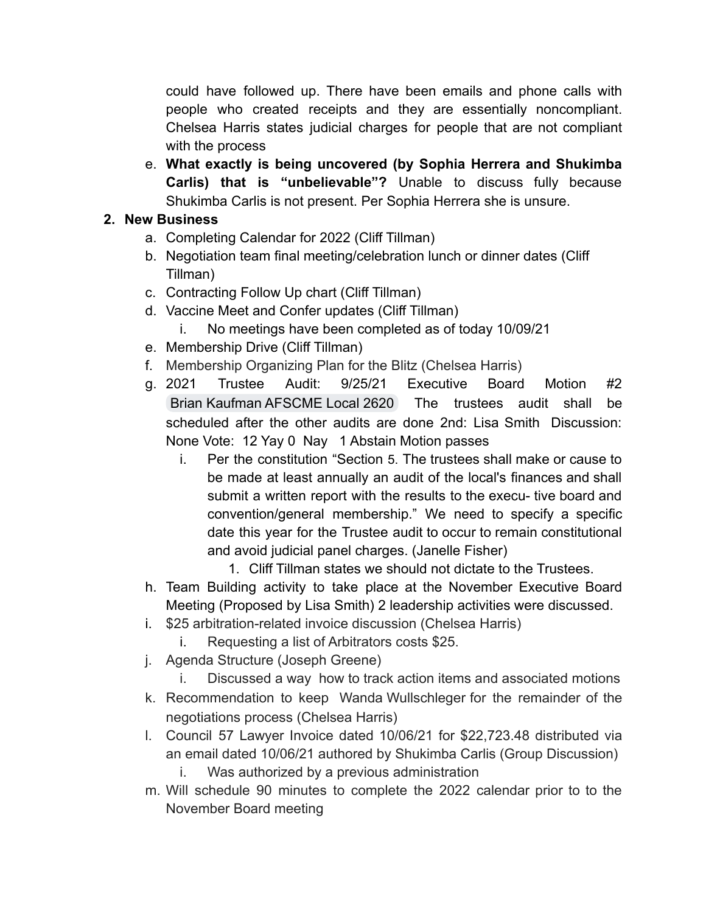could have followed up. There have been emails and phone calls with people who created receipts and they are essentially noncompliant. Chelsea Harris states judicial charges for people that are not compliant with the process

e. **What exactly is being uncovered (by Sophia Herrera and Shukimba Carlis) that is "unbelievable"?** Unable to discuss fully because Shukimba Carlis is not present. Per Sophia Herrera she is unsure.

### **2. New Business**

- a. Completing Calendar for 2022 (Cliff Tillman)
- b. Negotiation team final meeting/celebration lunch or dinner dates (Cliff Tillman)
- c. Contracting Follow Up chart (Cliff Tillman)
- d. Vaccine Meet and Confer updates (Cliff Tillman)
	- i. No meetings have been completed as of today 10/09/21
- e. Membership Drive (Cliff Tillman)
- f. Membership Organizing Plan for the Blitz (Chelsea Harris)
- g. 2021 Trustee Audit: 9/25/21 Executive Board Motion #2 [Brian Kaufman AFSCME Local 2620](mailto:bkaufman.afscme2620@gmail.com) The trustees audit shall be scheduled after the other audits are done 2nd: Lisa Smith Discussion: None Vote: 12 Yay 0 Nay 1 Abstain Motion passes
	- i. Per the constitution "Section 5. The trustees shall make or cause to be made at least annually an audit of the local's finances and shall submit a written report with the results to the execu- tive board and convention/general membership." We need to specify a specific date this year for the Trustee audit to occur to remain constitutional and avoid judicial panel charges. (Janelle Fisher)
		- 1. Cliff Tillman states we should not dictate to the Trustees.
- h. Team Building activity to take place at the November Executive Board Meeting (Proposed by Lisa Smith) 2 leadership activities were discussed.
- i. \$25 arbitration-related invoice discussion (Chelsea Harris)
	- i. Requesting a list of Arbitrators costs \$25.
- j. Agenda Structure (Joseph Greene)
	- i. Discussed a way how to track action items and associated motions
- k. Recommendation to keep [Wanda Wullschleger](mailto:wanda.wullschleger@afscmelocal2620.org) for the remainder of the negotiations process (Chelsea Harris)
- l. Council 57 Lawyer Invoice dated 10/06/21 for \$22,723.48 distributed via an email dated 10/06/21 authored by Shukimba Carlis (Group Discussion)
	- i. Was authorized by a previous administration
- m. Will schedule 90 minutes to complete the 2022 calendar prior to to the November Board meeting